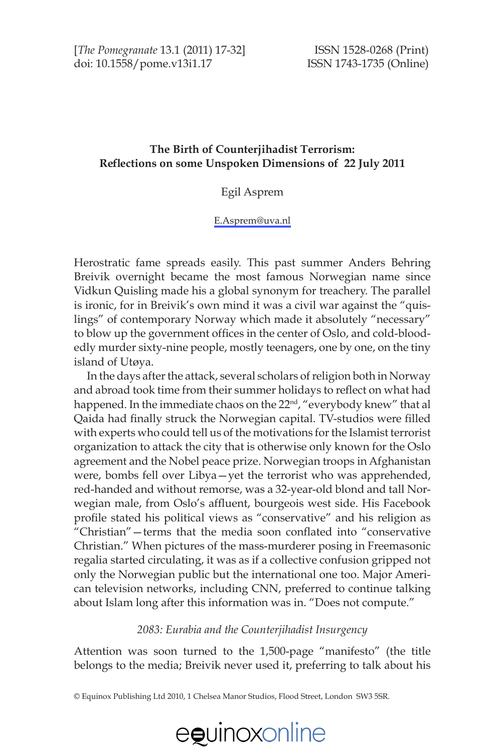### **The Birth of Counterjihadist Terrorism: Reflections on some Unspoken Dimensions of 22 July 2011**

### Egil Asprem

[E.Asprem@uva.nl](mailto:E.Asprem@uva.nl)

Herostratic fame spreads easily. This past summer Anders Behring Breivik overnight became the most famous Norwegian name since Vidkun Quisling made his a global synonym for treachery. The parallel is ironic, for in Breivik's own mind it was a civil war against the "quislings" of contemporary Norway which made it absolutely "necessary" to blow up the government offices in the center of Oslo, and cold-bloodedly murder sixty-nine people, mostly teenagers, one by one, on the tiny island of Utøya.

In the days after the attack, several scholars of religion both in Norway and abroad took time from their summer holidays to reflect on what had happened. In the immediate chaos on the 22<sup>nd</sup>, "everybody knew" that al Qaida had finally struck the Norwegian capital. TV-studios were filled with experts who could tell us of the motivations for the Islamist terrorist organization to attack the city that is otherwise only known for the Oslo agreement and the Nobel peace prize. Norwegian troops in Afghanistan were, bombs fell over Libya—yet the terrorist who was apprehended, red-handed and without remorse, was a 32-year-old blond and tall Norwegian male, from Oslo's affluent, bourgeois west side. His Facebook profile stated his political views as "conservative" and his religion as "Christian"—terms that the media soon conflated into "conservative Christian." When pictures of the mass-murderer posing in Freemasonic regalia started circulating, it was as if a collective confusion gripped not only the Norwegian public but the international one too. Major American television networks, including CNN, preferred to continue talking about Islam long after this information was in. "Does not compute."

### *2083: Eurabia and the Counterjihadist Insurgency*

Attention was soon turned to the 1,500-page "manifesto" (the title belongs to the media; Breivik never used it, preferring to talk about his

<sup>©</sup> Equinox Publishing Ltd 2010, 1 Chelsea Manor Studios, Flood Street, London SW3 5SR.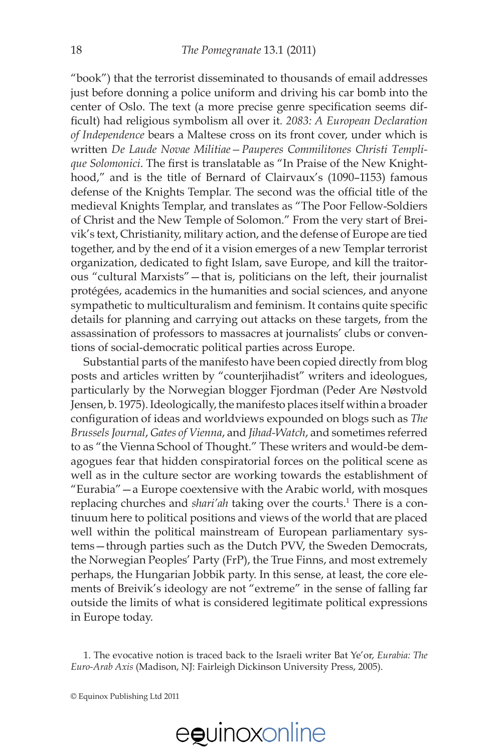"book") that the terrorist disseminated to thousands of email addresses just before donning a police uniform and driving his car bomb into the center of Oslo. The text (a more precise genre specification seems difficult) had religious symbolism all over it*. 2083: A European Declaration of Independence* bears a Maltese cross on its front cover, under which is written *De Laude Novae Militiae—Pauperes Commilitones Christi Templique Solomonici*. The first is translatable as "In Praise of the New Knighthood," and is the title of Bernard of Clairvaux's (1090–1153) famous defense of the Knights Templar. The second was the official title of the medieval Knights Templar, and translates as "The Poor Fellow-Soldiers of Christ and the New Temple of Solomon." From the very start of Breivik's text, Christianity, military action, and the defense of Europe are tied together, and by the end of it a vision emerges of a new Templar terrorist organization, dedicated to fight Islam, save Europe, and kill the traitorous "cultural Marxists"—that is, politicians on the left, their journalist protégées, academics in the humanities and social sciences, and anyone sympathetic to multiculturalism and feminism. It contains quite specific details for planning and carrying out attacks on these targets, from the assassination of professors to massacres at journalists' clubs or conventions of social-democratic political parties across Europe.

Substantial parts of the manifesto have been copied directly from blog posts and articles written by "counterjihadist" writers and ideologues, particularly by the Norwegian blogger Fjordman (Peder Are Nøstvold Jensen, b. 1975). Ideologically, the manifesto places itself within a broader configuration of ideas and worldviews expounded on blogs such as *The Brussels Journal*, *Gates of Vienna*, and *Jihad-Watch*, and sometimes referred to as "the Vienna School of Thought." These writers and would-be demagogues fear that hidden conspiratorial forces on the political scene as well as in the culture sector are working towards the establishment of "Eurabia"—a Europe coextensive with the Arabic world, with mosques replacing churches and *shari'ah* taking over the courts.<sup>1</sup> There is a continuum here to political positions and views of the world that are placed well within the political mainstream of European parliamentary systems—through parties such as the Dutch PVV, the Sweden Democrats, the Norwegian Peoples' Party (FrP), the True Finns, and most extremely perhaps, the Hungarian Jobbik party. In this sense, at least, the core elements of Breivik's ideology are not "extreme" in the sense of falling far outside the limits of what is considered legitimate political expressions in Europe today.

1. The evocative notion is traced back to the Israeli writer Bat Ye'or, *Eurabia: The Euro-Arab Axis* (Madison, NJ: Fairleigh Dickinson University Press, 2005).

© Equinox Publishing Ltd 2011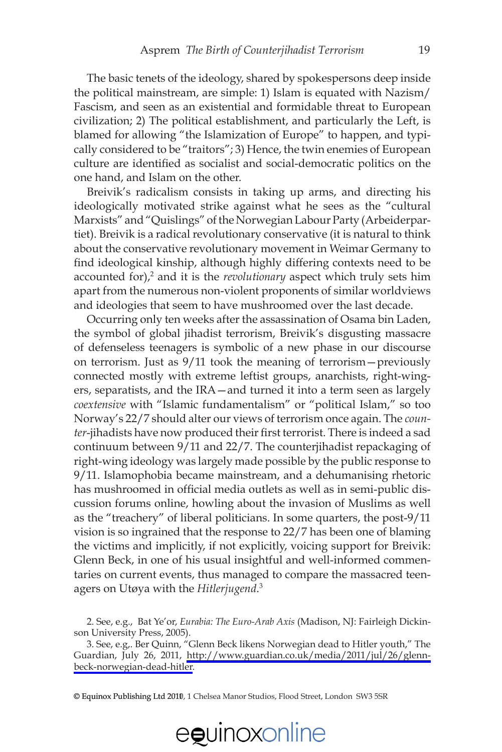The basic tenets of the ideology, shared by spokespersons deep inside the political mainstream, are simple: 1) Islam is equated with Nazism/ Fascism, and seen as an existential and formidable threat to European civilization; 2) The political establishment, and particularly the Left, is blamed for allowing "the Islamization of Europe" to happen, and typically considered to be "traitors"; 3) Hence, the twin enemies of European culture are identified as socialist and social-democratic politics on the one hand, and Islam on the other.

Breivik's radicalism consists in taking up arms, and directing his ideologically motivated strike against what he sees as the "cultural Marxists" and "Quislings" of the Norwegian Labour Party (Arbeiderpartiet). Breivik is a radical revolutionary conservative (it is natural to think about the conservative revolutionary movement in Weimar Germany to find ideological kinship, although highly differing contexts need to be accounted for),<sup>2</sup> and it is the *revolutionary* aspect which truly sets him apart from the numerous non-violent proponents of similar worldviews and ideologies that seem to have mushroomed over the last decade.

Occurring only ten weeks after the assassination of Osama bin Laden, the symbol of global jihadist terrorism, Breivik's disgusting massacre of defenseless teenagers is symbolic of a new phase in our discourse on terrorism. Just as 9/11 took the meaning of terrorism—previously connected mostly with extreme leftist groups, anarchists, right-wingers, separatists, and the IRA—and turned it into a term seen as largely *coextensive* with "Islamic fundamentalism" or "political Islam," so too Norway's 22/7 should alter our views of terrorism once again. The *counter*-jihadists have now produced their first terrorist. There is indeed a sad continuum between 9/11 and 22/7. The counterjihadist repackaging of right-wing ideology was largely made possible by the public response to 9/11. Islamophobia became mainstream, and a dehumanising rhetoric has mushroomed in official media outlets as well as in semi-public discussion forums online, howling about the invasion of Muslims as well as the "treachery" of liberal politicians. In some quarters, the post-9/11 vision is so ingrained that the response to 22/7 has been one of blaming the victims and implicitly, if not explicitly, voicing support for Breivik: Glenn Beck, in one of his usual insightful and well-informed commentaries on current events, thus managed to compare the massacred teenagers on Utøya with the *Hitlerjugend*. 3

© Equinox Publishing Ltd 2011 2010, 1 Chelsea Manor Studios, Flood Street, London SW3 5SR

<sup>2.</sup> See, e.g., Bat Ye'or, *Eurabia: The Euro-Arab Axis* (Madison, NJ: Fairleigh Dickinson University Press, 2005).

<sup>3.</sup> See, e.g,. Ber Quinn, "Glenn Beck likens Norwegian dead to Hitler youth," The Guardian, July 26, 2011, [http://www.guardian.co.uk/media/2011/jul/26/glenn](http://www.guardian.co.uk/media/2011/jul/26/glenn-beck-norwegian-dead-hitler)[beck-norwegian-dead-hitler.](http://www.guardian.co.uk/media/2011/jul/26/glenn-beck-norwegian-dead-hitler)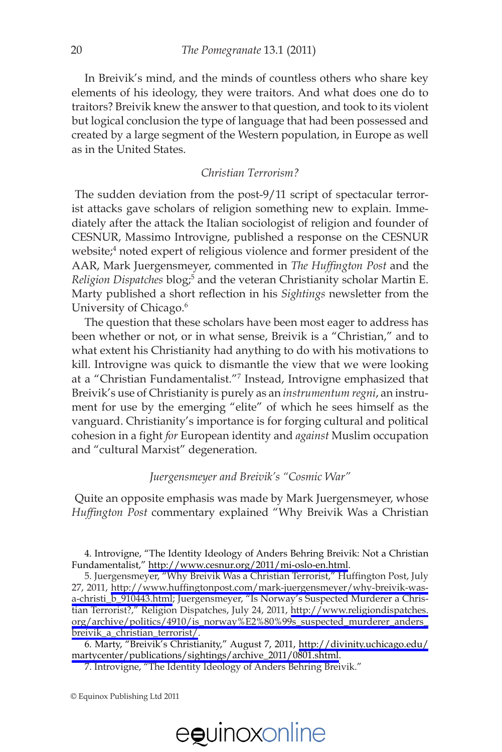In Breivik's mind, and the minds of countless others who share key elements of his ideology, they were traitors. And what does one do to traitors? Breivik knew the answer to that question, and took to its violent but logical conclusion the type of language that had been possessed and created by a large segment of the Western population, in Europe as well as in the United States.

#### *Christian Terrorism?*

The sudden deviation from the post-9/11 script of spectacular terrorist attacks gave scholars of religion something new to explain. Immediately after the attack the Italian sociologist of religion and founder of CESNUR, Massimo Introvigne, published a response on the CESNUR website;<sup>4</sup> noted expert of religious violence and former president of the AAR, Mark Juergensmeyer, commented in *The Huffington Post* and the Religion Dispatches blog;<sup>5</sup> and the veteran Christianity scholar Martin E. Marty published a short reflection in his *Sightings* newsletter from the University of Chicago.<sup>6</sup>

The question that these scholars have been most eager to address has been whether or not, or in what sense, Breivik is a "Christian," and to what extent his Christianity had anything to do with his motivations to kill. Introvigne was quick to dismantle the view that we were looking at a "Christian Fundamentalist."7 Instead, Introvigne emphasized that Breivik's use of Christianity is purely as an *instrumentum regni*, an instrument for use by the emerging "elite" of which he sees himself as the vanguard. Christianity's importance is for forging cultural and political cohesion in a fight *for* European identity and *against* Muslim occupation and "cultural Marxist" degeneration.

#### *Juergensmeyer and Breivik's "Cosmic War"*

Quite an opposite emphasis was made by Mark Juergensmeyer, whose *Huffington Post* commentary explained "Why Breivik Was a Christian

4. Introvigne, "The Identity Ideology of Anders Behring Breivik: Not a Christian Fundamentalist," <http://www.cesnur.org/2011/mi-oslo-en.html>.

5. Juergensmeyer, "Why Breivik Was a Christian Terrorist," Huffington Post, July 27, 2011, [http://www.huffingtonpost.com/mark-juergensmeyer/why-breivik-was](http://www.huffingtonpost.com/mark-juergensmeyer/why-breivik-was-a-christi_b_910443.html)[a-christi\\_b\\_910443.html](http://www.huffingtonpost.com/mark-juergensmeyer/why-breivik-was-a-christi_b_910443.html); Juergensmeyer, "Is Norway's Suspected Murderer a Christian Terrorist?," Religion Dispatches, July 24, 2011, [http://www.religiondispatches.](http://www.religiondispatches.org/archive/politics/4910/is_norway%E2%80%99s_suspected_murderer_anders_breivik_a_christian_terrorist/) [org/archive/politics/4910/is\\_norway%E2%80%99s\\_suspected\\_murderer\\_anders\\_](http://www.religiondispatches.org/archive/politics/4910/is_norway%E2%80%99s_suspected_murderer_anders_breivik_a_christian_terrorist/) [breivik\\_a\\_christian\\_terrorist/.](http://www.religiondispatches.org/archive/politics/4910/is_norway%E2%80%99s_suspected_murderer_anders_breivik_a_christian_terrorist/)

6. Marty, "Breivik's Christianity," August 7, 2011, [http://divinity.uchicago.edu/](http://divinity.uchicago.edu/martycenter/publications/sightings/archive_2011/0801.shtml) [martycenter/publications/sightings/archive\\_2011/0801.shtml.](http://divinity.uchicago.edu/martycenter/publications/sightings/archive_2011/0801.shtml)

7. Introvigne, "The Identity Ideology of Anders Behring Breivik."

© Equinox Publishing Ltd 2011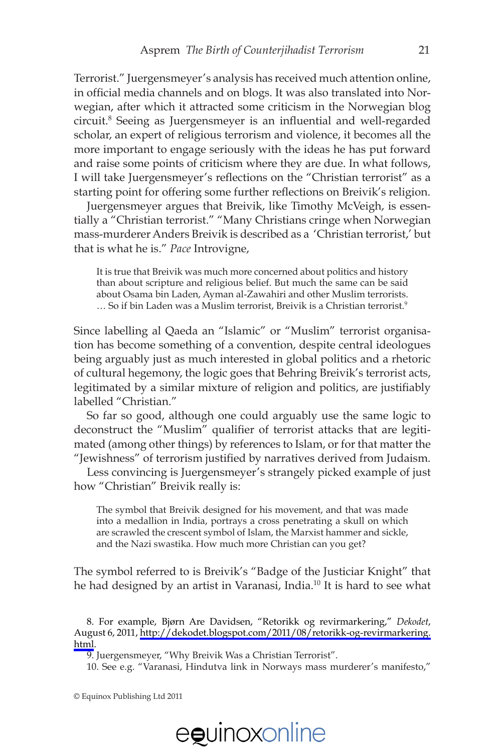Terrorist." Juergensmeyer's analysis has received much attention online, in official media channels and on blogs. It was also translated into Norwegian, after which it attracted some criticism in the Norwegian blog circuit.<sup>8</sup> Seeing as Juergensmeyer is an influential and well-regarded scholar, an expert of religious terrorism and violence, it becomes all the more important to engage seriously with the ideas he has put forward and raise some points of criticism where they are due. In what follows, I will take Juergensmeyer's reflections on the "Christian terrorist" as a starting point for offering some further reflections on Breivik's religion.

Juergensmeyer argues that Breivik, like Timothy McVeigh, is essentially a "Christian terrorist." "Many Christians cringe when Norwegian mass-murderer Anders Breivik is described as a 'Christian terrorist,' but that is what he is." *Pace* Introvigne,

It is true that Breivik was much more concerned about politics and history than about scripture and religious belief. But much the same can be said about Osama bin Laden, Ayman al-Zawahiri and other Muslim terrorists. … So if bin Laden was a Muslim terrorist, Breivik is a Christian terrorist.9

Since labelling al Qaeda an "Islamic" or "Muslim" terrorist organisation has become something of a convention, despite central ideologues being arguably just as much interested in global politics and a rhetoric of cultural hegemony, the logic goes that Behring Breivik's terrorist acts, legitimated by a similar mixture of religion and politics, are justifiably labelled "Christian."

So far so good, although one could arguably use the same logic to deconstruct the "Muslim" qualifier of terrorist attacks that are legitimated (among other things) by references to Islam, or for that matter the "Jewishness" of terrorism justified by narratives derived from Judaism.

Less convincing is Juergensmeyer's strangely picked example of just how "Christian" Breivik really is:

The symbol that Breivik designed for his movement, and that was made into a medallion in India, portrays a cross penetrating a skull on which are scrawled the crescent symbol of Islam, the Marxist hammer and sickle, and the Nazi swastika. How much more Christian can you get?

The symbol referred to is Breivik's "Badge of the Justiciar Knight" that he had designed by an artist in Varanasi, India.<sup>10</sup> It is hard to see what

9. Juergensmeyer, "Why Breivik Was a Christian Terrorist".

10. See e.g. "Varanasi, Hindutva link in Norways mass murderer's manifesto,"

© Equinox Publishing Ltd 2011

<sup>8.</sup> For example, Bjørn Are Davidsen, "Retorikk og revirmarkering," *Dekodet*, August 6, 2011, [http://dekodet.blogspot.com/2011/08/retorikk-og-revirmarkering.](http://dekodet.blogspot.com/2011/08/retorikk-og-revirmarkering.html) [html.](http://dekodet.blogspot.com/2011/08/retorikk-og-revirmarkering.html)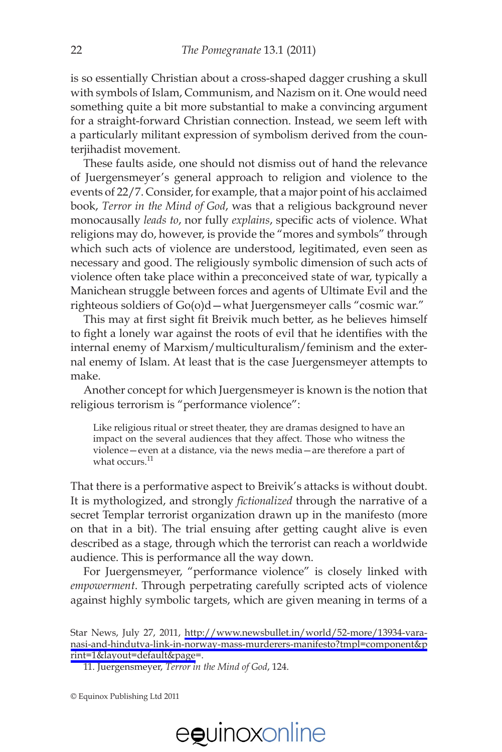is so essentially Christian about a cross-shaped dagger crushing a skull with symbols of Islam, Communism, and Nazism on it. One would need something quite a bit more substantial to make a convincing argument for a straight-forward Christian connection. Instead, we seem left with a particularly militant expression of symbolism derived from the counterjihadist movement.

These faults aside, one should not dismiss out of hand the relevance of Juergensmeyer's general approach to religion and violence to the events of 22/7. Consider, for example, that a major point of his acclaimed book, *Terror in the Mind of God*, was that a religious background never monocausally *leads to*, nor fully *explains*, specific acts of violence. What religions may do, however, is provide the "mores and symbols" through which such acts of violence are understood, legitimated, even seen as necessary and good. The religiously symbolic dimension of such acts of violence often take place within a preconceived state of war, typically a Manichean struggle between forces and agents of Ultimate Evil and the righteous soldiers of Go(o)d—what Juergensmeyer calls "cosmic war."

This may at first sight fit Breivik much better, as he believes himself to fight a lonely war against the roots of evil that he identifies with the internal enemy of Marxism/multiculturalism/feminism and the external enemy of Islam. At least that is the case Juergensmeyer attempts to make.

Another concept for which Juergensmeyer is known is the notion that religious terrorism is "performance violence":

Like religious ritual or street theater, they are dramas designed to have an impact on the several audiences that they affect. Those who witness the violence—even at a distance, via the news media—are therefore a part of what occurs.<sup>11</sup>

That there is a performative aspect to Breivik's attacks is without doubt. It is mythologized, and strongly *fictionalized* through the narrative of a secret Templar terrorist organization drawn up in the manifesto (more on that in a bit). The trial ensuing after getting caught alive is even described as a stage, through which the terrorist can reach a worldwide audience. This is performance all the way down.

For Juergensmeyer, "performance violence" is closely linked with *empowerment*. Through perpetrating carefully scripted acts of violence against highly symbolic targets, which are given meaning in terms of a

11. Juergensmeyer, *Terror in the Mind of God*, 124.

© Equinox Publishing Ltd 2011

Star News, July 27, 2011, [http://www.newsbullet.in/world/52-more/13934-vara](http://www.newsbullet.in/world/52-more/13934-varanasi-and-hindutva-link-in-norway-mass-murderers-manifesto?tmpl=component&print=1&layout=default&page)[nasi-and-hindutva-link-in-norway-mass-murderers-manifesto?tmpl=component&p](http://www.newsbullet.in/world/52-more/13934-varanasi-and-hindutva-link-in-norway-mass-murderers-manifesto?tmpl=component&print=1&layout=default&page) [rint=1&layout=default&page](http://www.newsbullet.in/world/52-more/13934-varanasi-and-hindutva-link-in-norway-mass-murderers-manifesto?tmpl=component&print=1&layout=default&page)=.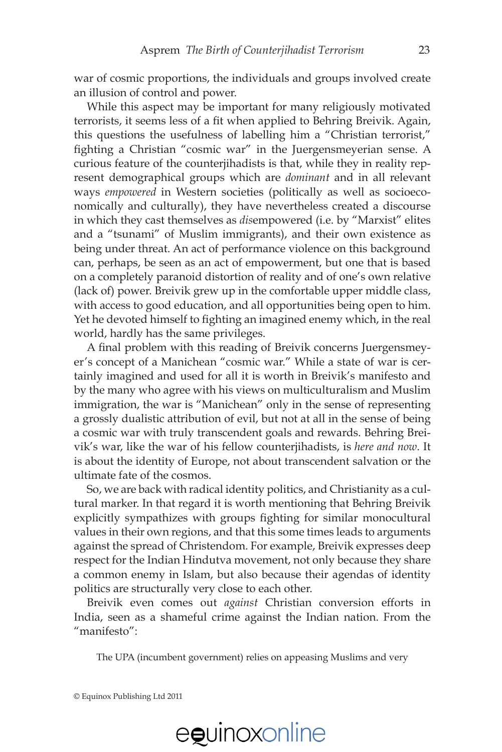war of cosmic proportions, the individuals and groups involved create an illusion of control and power.

While this aspect may be important for many religiously motivated terrorists, it seems less of a fit when applied to Behring Breivik. Again, this questions the usefulness of labelling him a "Christian terrorist," fighting a Christian "cosmic war" in the Juergensmeyerian sense. A curious feature of the counterjihadists is that, while they in reality represent demographical groups which are *dominant* and in all relevant ways *empowered* in Western societies (politically as well as socioeconomically and culturally), they have nevertheless created a discourse in which they cast themselves as *dis*empowered (i.e. by "Marxist" elites and a "tsunami" of Muslim immigrants), and their own existence as being under threat. An act of performance violence on this background can, perhaps, be seen as an act of empowerment, but one that is based on a completely paranoid distortion of reality and of one's own relative (lack of) power. Breivik grew up in the comfortable upper middle class, with access to good education, and all opportunities being open to him. Yet he devoted himself to fighting an imagined enemy which, in the real world, hardly has the same privileges.

A final problem with this reading of Breivik concerns Juergensmeyer's concept of a Manichean "cosmic war." While a state of war is certainly imagined and used for all it is worth in Breivik's manifesto and by the many who agree with his views on multiculturalism and Muslim immigration, the war is "Manichean" only in the sense of representing a grossly dualistic attribution of evil, but not at all in the sense of being a cosmic war with truly transcendent goals and rewards. Behring Breivik's war, like the war of his fellow counterjihadists, is *here and now*. It is about the identity of Europe, not about transcendent salvation or the ultimate fate of the cosmos.

So, we are back with radical identity politics, and Christianity as a cultural marker. In that regard it is worth mentioning that Behring Breivik explicitly sympathizes with groups fighting for similar monocultural values in their own regions, and that this some times leads to arguments against the spread of Christendom. For example, Breivik expresses deep respect for the Indian Hindutva movement, not only because they share a common enemy in Islam, but also because their agendas of identity politics are structurally very close to each other.

Breivik even comes out *against* Christian conversion efforts in India, seen as a shameful crime against the Indian nation. From the "manifesto":

The UPA (incumbent government) relies on appeasing Muslims and very

© Equinox Publishing Ltd 2011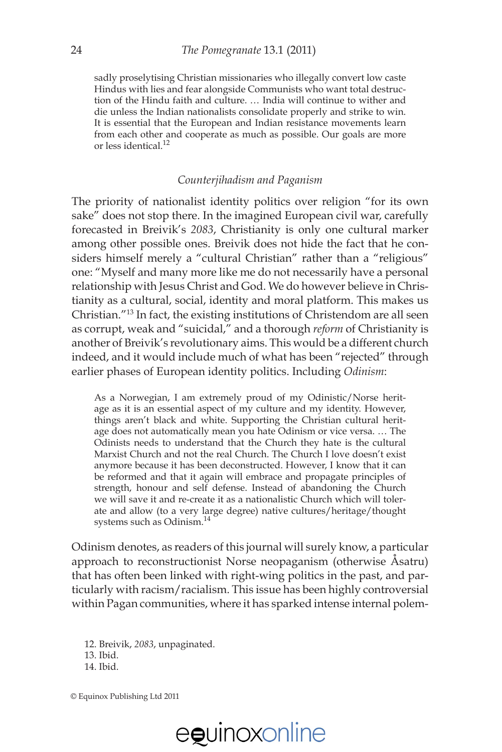sadly proselytising Christian missionaries who illegally convert low caste Hindus with lies and fear alongside Communists who want total destruction of the Hindu faith and culture. … India will continue to wither and die unless the Indian nationalists consolidate properly and strike to win. It is essential that the European and Indian resistance movements learn from each other and cooperate as much as possible. Our goals are more or less identical.12

#### *Counterjihadism and Paganism*

The priority of nationalist identity politics over religion "for its own sake" does not stop there. In the imagined European civil war, carefully forecasted in Breivik's *2083*, Christianity is only one cultural marker among other possible ones. Breivik does not hide the fact that he considers himself merely a "cultural Christian" rather than a "religious" one: "Myself and many more like me do not necessarily have a personal relationship with Jesus Christ and God. We do however believe in Christianity as a cultural, social, identity and moral platform. This makes us Christian."13 In fact, the existing institutions of Christendom are all seen as corrupt, weak and "suicidal," and a thorough *reform* of Christianity is another of Breivik's revolutionary aims. This would be a different church indeed, and it would include much of what has been "rejected" through earlier phases of European identity politics. Including *Odinism*:

As a Norwegian, I am extremely proud of my Odinistic/Norse heritage as it is an essential aspect of my culture and my identity. However, things aren't black and white. Supporting the Christian cultural heritage does not automatically mean you hate Odinism or vice versa. … The Odinists needs to understand that the Church they hate is the cultural Marxist Church and not the real Church. The Church I love doesn't exist anymore because it has been deconstructed. However, I know that it can be reformed and that it again will embrace and propagate principles of strength, honour and self defense. Instead of abandoning the Church we will save it and re-create it as a nationalistic Church which will tolerate and allow (to a very large degree) native cultures/heritage/thought systems such as Odinism.<sup>14</sup>

Odinism denotes, as readers of this journal will surely know, a particular approach to reconstructionist Norse neopaganism (otherwise Åsatru) that has often been linked with right-wing politics in the past, and particularly with racism/racialism. This issue has been highly controversial within Pagan communities, where it has sparked intense internal polem-

- 12. Breivik, *2083*, unpaginated.
- 13. Ibid.
- 14. Ibid.

© Equinox Publishing Ltd 2011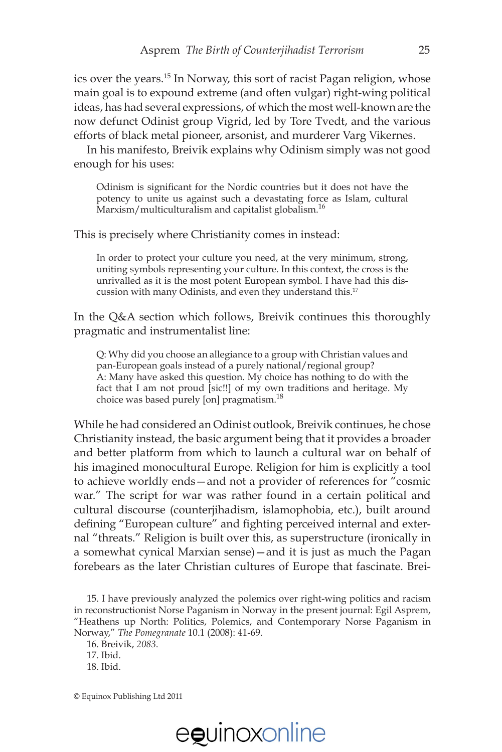ics over the years.15 In Norway, this sort of racist Pagan religion, whose main goal is to expound extreme (and often vulgar) right-wing political ideas, has had several expressions, of which the most well-known are the now defunct Odinist group Vigrid, led by Tore Tvedt, and the various efforts of black metal pioneer, arsonist, and murderer Varg Vikernes.

In his manifesto, Breivik explains why Odinism simply was not good enough for his uses:

Odinism is significant for the Nordic countries but it does not have the potency to unite us against such a devastating force as Islam, cultural Marxism/multiculturalism and capitalist globalism.<sup>16</sup>

This is precisely where Christianity comes in instead:

In order to protect your culture you need, at the very minimum, strong, uniting symbols representing your culture. In this context, the cross is the unrivalled as it is the most potent European symbol. I have had this discussion with many Odinists, and even they understand this.17

In the Q&A section which follows, Breivik continues this thoroughly pragmatic and instrumentalist line:

Q: Why did you choose an allegiance to a group with Christian values and pan-European goals instead of a purely national/regional group? A: Many have asked this question. My choice has nothing to do with the fact that I am not proud [sic!!] of my own traditions and heritage. My choice was based purely [on] pragmatism.<sup>18</sup>

While he had considered an Odinist outlook, Breivik continues, he chose Christianity instead, the basic argument being that it provides a broader and better platform from which to launch a cultural war on behalf of his imagined monocultural Europe. Religion for him is explicitly a tool to achieve worldly ends—and not a provider of references for "cosmic war." The script for war was rather found in a certain political and cultural discourse (counterjihadism, islamophobia, etc.), built around defining "European culture" and fighting perceived internal and external "threats." Religion is built over this, as superstructure (ironically in a somewhat cynical Marxian sense)—and it is just as much the Pagan forebears as the later Christian cultures of Europe that fascinate. Brei-

15. I have previously analyzed the polemics over right-wing politics and racism in reconstructionist Norse Paganism in Norway in the present journal: Egil Asprem, "Heathens up North: Politics, Polemics, and Contemporary Norse Paganism in Norway," *The Pomegranate* 10.1 (2008): 41-69.

16. Breivik, *2083*. 17. Ibid.

18. Ibid.

© Equinox Publishing Ltd 2011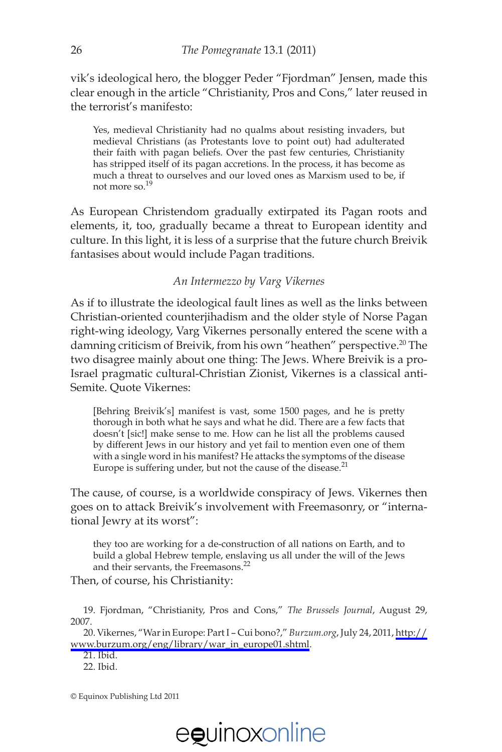vik's ideological hero, the blogger Peder "Fjordman" Jensen, made this clear enough in the article "Christianity, Pros and Cons," later reused in the terrorist's manifesto:

Yes, medieval Christianity had no qualms about resisting invaders, but medieval Christians (as Protestants love to point out) had adulterated their faith with pagan beliefs. Over the past few centuries, Christianity has stripped itself of its pagan accretions. In the process, it has become as much a threat to ourselves and our loved ones as Marxism used to be, if not more so.19

As European Christendom gradually extirpated its Pagan roots and elements, it, too, gradually became a threat to European identity and culture. In this light, it is less of a surprise that the future church Breivik fantasises about would include Pagan traditions.

*An Intermezzo by Varg Vikernes*

As if to illustrate the ideological fault lines as well as the links between Christian-oriented counterjihadism and the older style of Norse Pagan right-wing ideology, Varg Vikernes personally entered the scene with a damning criticism of Breivik, from his own "heathen" perspective.<sup>20</sup> The two disagree mainly about one thing: The Jews. Where Breivik is a pro-Israel pragmatic cultural-Christian Zionist, Vikernes is a classical anti-Semite. Quote Vikernes:

[Behring Breivik's] manifest is vast, some 1500 pages, and he is pretty thorough in both what he says and what he did. There are a few facts that doesn't [sic!] make sense to me. How can he list all the problems caused by different Jews in our history and yet fail to mention even one of them with a single word in his manifest? He attacks the symptoms of the disease Europe is suffering under, but not the cause of the disease.<sup>21</sup>

The cause, of course, is a worldwide conspiracy of Jews. Vikernes then goes on to attack Breivik's involvement with Freemasonry, or "international Jewry at its worst":

they too are working for a de-construction of all nations on Earth, and to build a global Hebrew temple, enslaving us all under the will of the Jews and their servants, the Freemasons.<sup>22</sup>

Then, of course, his Christianity:

19. Fjordman, "Christianity, Pros and Cons," *The Brussels Journal*, August 29, 2007.

20. Vikernes, "War in Europe: Part I – Cui bono?," *Burzum.org*, July 24, 2011, [http://](http://www.burzum.org/eng/library/war_in_europe01.shtml) [www.burzum.org/eng/library/war\\_in\\_europe01.shtml.](http://www.burzum.org/eng/library/war_in_europe01.shtml)

21. Ibid.

22. Ibid.

© Equinox Publishing Ltd 2011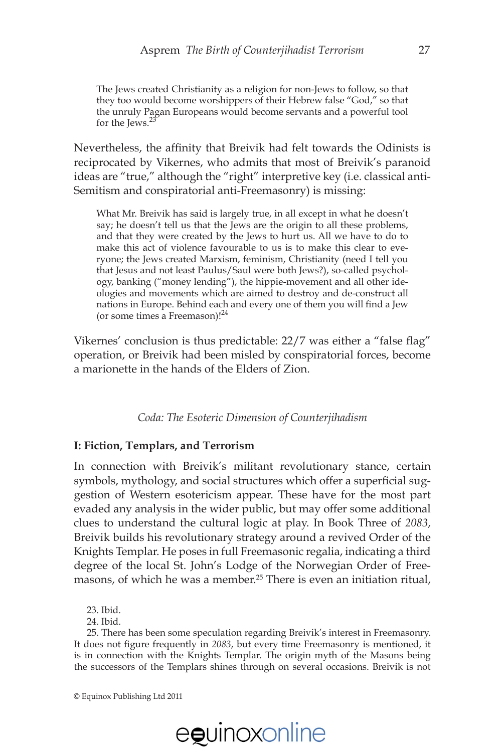The Jews created Christianity as a religion for non-Jews to follow, so that they too would become worshippers of their Hebrew false "God," so that the unruly Pagan Europeans would become servants and a powerful tool for the Jews.23

Nevertheless, the affinity that Breivik had felt towards the Odinists is reciprocated by Vikernes, who admits that most of Breivik's paranoid ideas are "true," although the "right" interpretive key (i.e. classical anti-Semitism and conspiratorial anti-Freemasonry) is missing:

What Mr. Breivik has said is largely true, in all except in what he doesn't say; he doesn't tell us that the Jews are the origin to all these problems, and that they were created by the Jews to hurt us. All we have to do to make this act of violence favourable to us is to make this clear to everyone; the Jews created Marxism, feminism, Christianity (need I tell you that Jesus and not least Paulus/Saul were both Jews?), so-called psychology, banking ("money lending"), the hippie-movement and all other ideologies and movements which are aimed to destroy and de-construct all nations in Europe. Behind each and every one of them you will find a Jew (or some times a Freemason)!24

Vikernes' conclusion is thus predictable: 22/7 was either a "false flag" operation, or Breivik had been misled by conspiratorial forces, become a marionette in the hands of the Elders of Zion.

*Coda: The Esoteric Dimension of Counterjihadism*

#### **I: Fiction, Templars, and Terrorism**

In connection with Breivik's militant revolutionary stance, certain symbols, mythology, and social structures which offer a superficial suggestion of Western esotericism appear. These have for the most part evaded any analysis in the wider public, but may offer some additional clues to understand the cultural logic at play. In Book Three of *2083*, Breivik builds his revolutionary strategy around a revived Order of the Knights Templar. He poses in full Freemasonic regalia, indicating a third degree of the local St. John's Lodge of the Norwegian Order of Freemasons, of which he was a member.<sup>25</sup> There is even an initiation ritual,

25. There has been some speculation regarding Breivik's interest in Freemasonry. It does not figure frequently in *2083*, but every time Freemasonry is mentioned, it is in connection with the Knights Templar. The origin myth of the Masons being the successors of the Templars shines through on several occasions. Breivik is not

© Equinox Publishing Ltd 2011

<sup>23.</sup> Ibid.

<sup>24.</sup> Ibid.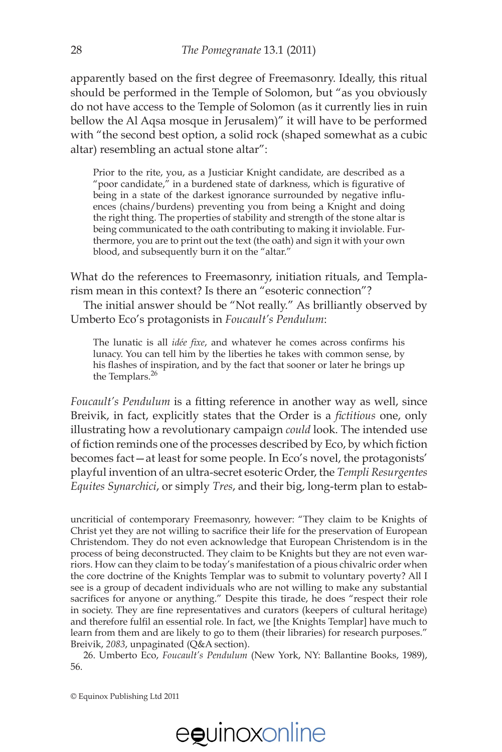apparently based on the first degree of Freemasonry. Ideally, this ritual should be performed in the Temple of Solomon, but "as you obviously do not have access to the Temple of Solomon (as it currently lies in ruin bellow the Al Aqsa mosque in Jerusalem)" it will have to be performed with "the second best option, a solid rock (shaped somewhat as a cubic altar) resembling an actual stone altar":

Prior to the rite, you, as a Justiciar Knight candidate, are described as a "poor candidate," in a burdened state of darkness, which is figurative of being in a state of the darkest ignorance surrounded by negative influences (chains/burdens) preventing you from being a Knight and doing the right thing. The properties of stability and strength of the stone altar is being communicated to the oath contributing to making it inviolable. Furthermore, you are to print out the text (the oath) and sign it with your own blood, and subsequently burn it on the "altar."

What do the references to Freemasonry, initiation rituals, and Templarism mean in this context? Is there an "esoteric connection"?

The initial answer should be "Not really." As brilliantly observed by Umberto Eco's protagonists in *Foucault's Pendulum*:

The lunatic is all *idée fixe*, and whatever he comes across confirms his lunacy. You can tell him by the liberties he takes with common sense, by his flashes of inspiration, and by the fact that sooner or later he brings up the Templars.<sup>26</sup>

*Foucault's Pendulum* is a fitting reference in another way as well, since Breivik, in fact, explicitly states that the Order is a *fictitious* one, only illustrating how a revolutionary campaign *could* look. The intended use of fiction reminds one of the processes described by Eco, by which fiction becomes fact—at least for some people. In Eco's novel, the protagonists' playful invention of an ultra-secret esoteric Order, the *Templi Resurgentes Equites Synarchici*, or simply *Tres*, and their big, long-term plan to estab-

uncriticial of contemporary Freemasonry, however: "They claim to be Knights of Christ yet they are not willing to sacrifice their life for the preservation of European Christendom. They do not even acknowledge that European Christendom is in the process of being deconstructed. They claim to be Knights but they are not even warriors. How can they claim to be today's manifestation of a pious chivalric order when the core doctrine of the Knights Templar was to submit to voluntary poverty? All I see is a group of decadent individuals who are not willing to make any substantial sacrifices for anyone or anything." Despite this tirade, he does "respect their role in society. They are fine representatives and curators (keepers of cultural heritage) and therefore fulfil an essential role. In fact, we [the Knights Templar] have much to learn from them and are likely to go to them (their libraries) for research purposes." Breivik, *2083*, unpaginated (Q&A section).

26. Umberto Eco, *Foucault's Pendulum* (New York, NY: Ballantine Books, 1989), 56.

© Equinox Publishing Ltd 2011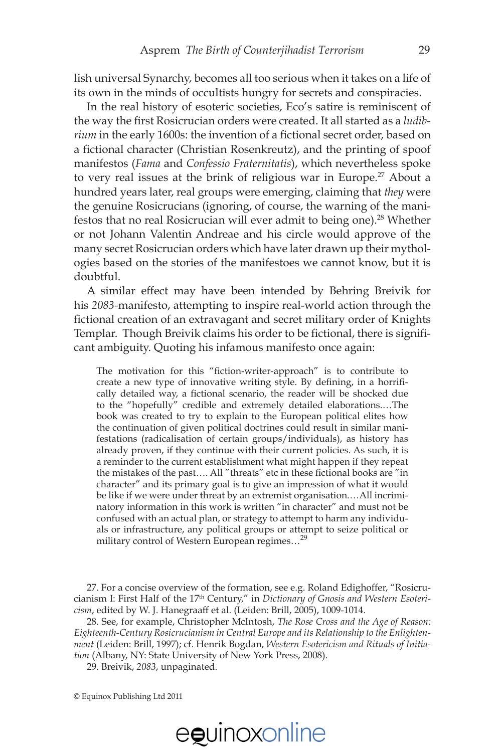lish universal Synarchy, becomes all too serious when it takes on a life of its own in the minds of occultists hungry for secrets and conspiracies.

In the real history of esoteric societies, Eco's satire is reminiscent of the way the first Rosicrucian orders were created. It all started as a *ludibrium* in the early 1600s: the invention of a fictional secret order, based on a fictional character (Christian Rosenkreutz), and the printing of spoof manifestos (*Fama* and *Confessio Fraternitatis*), which nevertheless spoke to very real issues at the brink of religious war in Europe.<sup>27</sup> About a hundred years later, real groups were emerging, claiming that *they* were the genuine Rosicrucians (ignoring, of course, the warning of the manifestos that no real Rosicrucian will ever admit to being one).<sup>28</sup> Whether or not Johann Valentin Andreae and his circle would approve of the many secret Rosicrucian orders which have later drawn up their mythologies based on the stories of the manifestoes we cannot know, but it is doubtful.

A similar effect may have been intended by Behring Breivik for his *2083-*manifesto, attempting to inspire real-world action through the fictional creation of an extravagant and secret military order of Knights Templar. Though Breivik claims his order to be fictional, there is significant ambiguity. Quoting his infamous manifesto once again:

The motivation for this "fiction-writer-approach" is to contribute to create a new type of innovative writing style. By defining, in a horrifically detailed way, a fictional scenario, the reader will be shocked due to the "hopefully" credible and extremely detailed elaborations.…The book was created to try to explain to the European political elites how the continuation of given political doctrines could result in similar manifestations (radicalisation of certain groups/individuals), as history has already proven, if they continue with their current policies. As such, it is a reminder to the current establishment what might happen if they repeat the mistakes of the past…. All "threats" etc in these fictional books are "in character" and its primary goal is to give an impression of what it would be like if we were under threat by an extremist organisation.…All incriminatory information in this work is written "in character" and must not be confused with an actual plan, or strategy to attempt to harm any individuals or infrastructure, any political groups or attempt to seize political or military control of Western European regimes…29

27. For a concise overview of the formation, see e.g. Roland Edighoffer, "Rosicrucianism I: First Half of the 17th Century," in *Dictionary of Gnosis and Western Esotericism*, edited by W. J. Hanegraaff et al. (Leiden: Brill, 2005), 1009-1014.

28. See, for example, Christopher McIntosh, *The Rose Cross and the Age of Reason: Eighteenth-Century Rosicrucianism in Central Europe and its Relationship to the Enlightenment* (Leiden: Brill, 1997); cf. Henrik Bogdan, *Western Esotericism and Rituals of Initiation* (Albany, NY: State University of New York Press, 2008).

29. Breivik, *2083*, unpaginated.

© Equinox Publishing Ltd 2011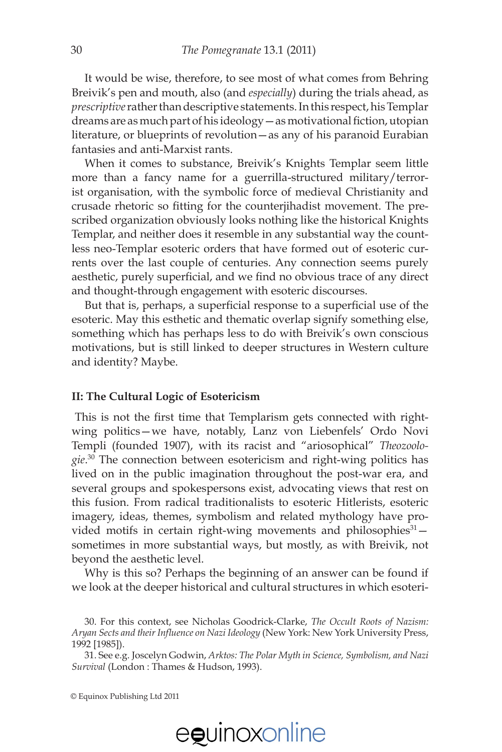It would be wise, therefore, to see most of what comes from Behring Breivik's pen and mouth, also (and *especially*) during the trials ahead, as *prescriptive* rather than descriptive statements. In this respect, his Templar dreams are as much part of his ideology—as motivational fiction, utopian literature, or blueprints of revolution—as any of his paranoid Eurabian fantasies and anti-Marxist rants.

When it comes to substance, Breivik's Knights Templar seem little more than a fancy name for a guerrilla-structured military/terrorist organisation, with the symbolic force of medieval Christianity and crusade rhetoric so fitting for the counterjihadist movement. The prescribed organization obviously looks nothing like the historical Knights Templar, and neither does it resemble in any substantial way the countless neo-Templar esoteric orders that have formed out of esoteric currents over the last couple of centuries. Any connection seems purely aesthetic, purely superficial, and we find no obvious trace of any direct and thought-through engagement with esoteric discourses.

But that is, perhaps, a superficial response to a superficial use of the esoteric. May this esthetic and thematic overlap signify something else, something which has perhaps less to do with Breivik's own conscious motivations, but is still linked to deeper structures in Western culture and identity? Maybe.

#### **II: The Cultural Logic of Esotericism**

This is not the first time that Templarism gets connected with rightwing politics—we have, notably, Lanz von Liebenfels' Ordo Novi Templi (founded 1907), with its racist and "ariosophical" *Theozoologie*. 30 The connection between esotericism and right-wing politics has lived on in the public imagination throughout the post-war era, and several groups and spokespersons exist, advocating views that rest on this fusion. From radical traditionalists to esoteric Hitlerists, esoteric imagery, ideas, themes, symbolism and related mythology have provided motifs in certain right-wing movements and philosophies $31$ sometimes in more substantial ways, but mostly, as with Breivik, not beyond the aesthetic level.

Why is this so? Perhaps the beginning of an answer can be found if we look at the deeper historical and cultural structures in which esoteri-

© Equinox Publishing Ltd 2011

<sup>30.</sup> For this context, see Nicholas Goodrick-Clarke, *The Occult Roots of Nazism: Aryan Sects and their Influence on Nazi Ideology* (New York: New York University Press, 1992 [1985]).

<sup>31.</sup> See e.g. Joscelyn Godwin, *Arktos: The Polar Myth in Science, Symbolism, and Nazi Survival* (London : Thames & Hudson, 1993).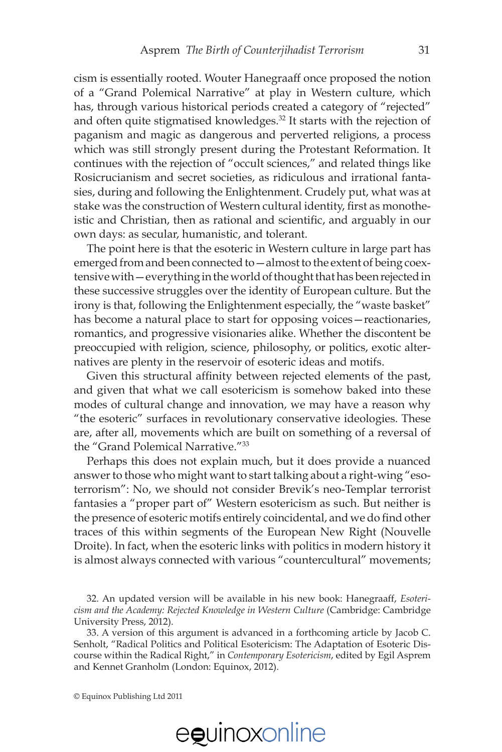cism is essentially rooted. Wouter Hanegraaff once proposed the notion of a "Grand Polemical Narrative" at play in Western culture, which has, through various historical periods created a category of "rejected" and often quite stigmatised knowledges.<sup>32</sup> It starts with the rejection of paganism and magic as dangerous and perverted religions, a process which was still strongly present during the Protestant Reformation. It continues with the rejection of "occult sciences," and related things like Rosicrucianism and secret societies, as ridiculous and irrational fantasies, during and following the Enlightenment. Crudely put, what was at stake was the construction of Western cultural identity, first as monotheistic and Christian, then as rational and scientific, and arguably in our own days: as secular, humanistic, and tolerant.

The point here is that the esoteric in Western culture in large part has emerged from and been connected to—almost to the extent of being coextensive with—everything in the world of thought that has been rejected in these successive struggles over the identity of European culture. But the irony is that, following the Enlightenment especially, the "waste basket" has become a natural place to start for opposing voices—reactionaries, romantics, and progressive visionaries alike. Whether the discontent be preoccupied with religion, science, philosophy, or politics, exotic alternatives are plenty in the reservoir of esoteric ideas and motifs.

Given this structural affinity between rejected elements of the past, and given that what we call esotericism is somehow baked into these modes of cultural change and innovation, we may have a reason why "the esoteric" surfaces in revolutionary conservative ideologies. These are, after all, movements which are built on something of a reversal of the "Grand Polemical Narrative."33

Perhaps this does not explain much, but it does provide a nuanced answer to those who might want to start talking about a right-wing "esoterrorism": No, we should not consider Brevik's neo-Templar terrorist fantasies a "proper part of" Western esotericism as such. But neither is the presence of esoteric motifs entirely coincidental, and we do find other traces of this within segments of the European New Right (Nouvelle Droite). In fact, when the esoteric links with politics in modern history it is almost always connected with various "countercultural" movements;

32. An updated version will be available in his new book: Hanegraaff, *Esotericism and the Academy: Rejected Knowledge in Western Culture* (Cambridge: Cambridge University Press, 2012).

33. A version of this argument is advanced in a forthcoming article by Jacob C. Senholt, "Radical Politics and Political Esotericism: The Adaptation of Esoteric Discourse within the Radical Right," in *Contemporary Esotericism*, edited by Egil Asprem and Kennet Granholm (London: Equinox, 2012).

© Equinox Publishing Ltd 2011